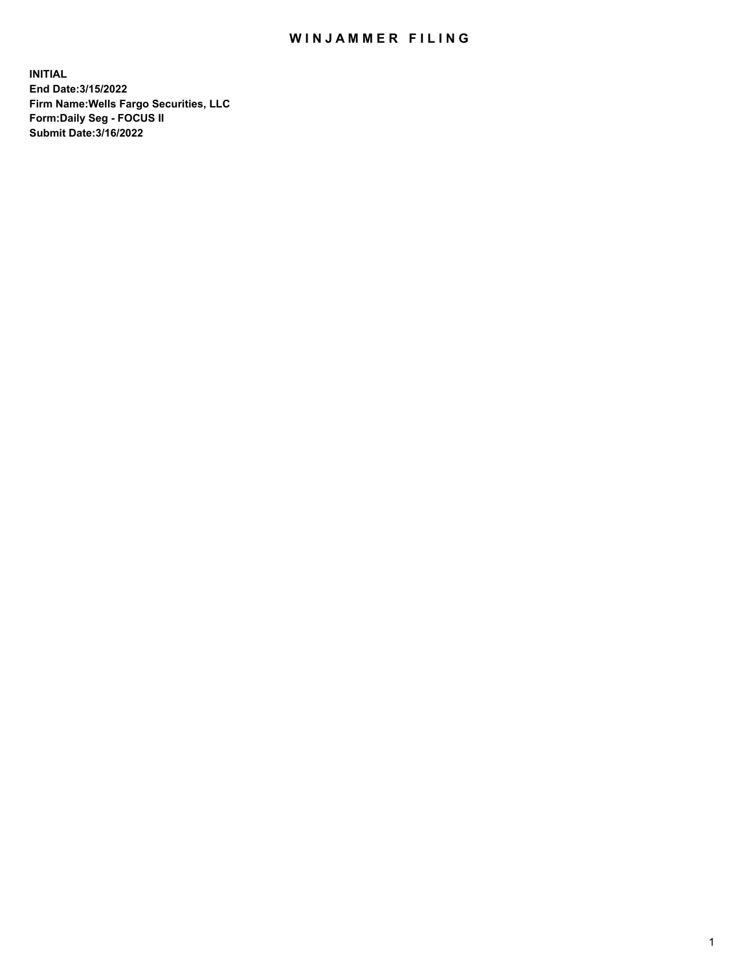## WIN JAMMER FILING

**INITIAL End Date:3/15/2022 Firm Name:Wells Fargo Securities, LLC Form:Daily Seg - FOCUS II Submit Date:3/16/2022**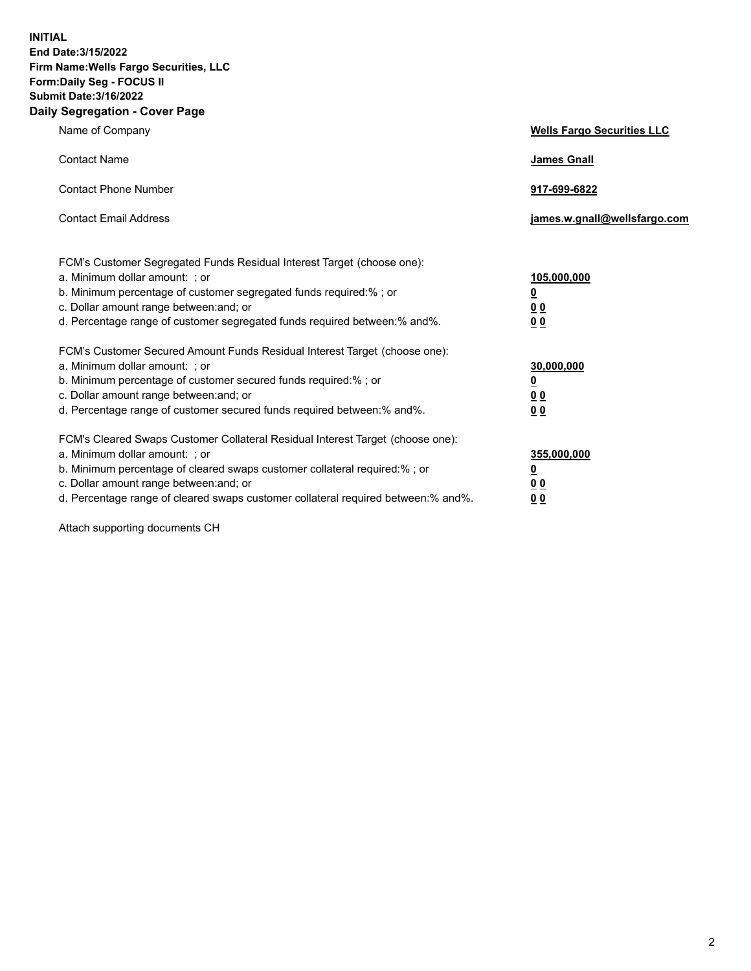**INITIAL End Date:3/15/2022 Firm Name:Wells Fargo Securities, LLC Form:Daily Seg - FOCUS II Submit Date:3/16/2022 Daily Segregation - Cover Page**

| Name of Company                                                                                                                                                                                                                                                                                                                | <b>Wells Fargo Securities LLC</b>                          |
|--------------------------------------------------------------------------------------------------------------------------------------------------------------------------------------------------------------------------------------------------------------------------------------------------------------------------------|------------------------------------------------------------|
| <b>Contact Name</b>                                                                                                                                                                                                                                                                                                            | <b>James Gnall</b>                                         |
| <b>Contact Phone Number</b>                                                                                                                                                                                                                                                                                                    | 917-699-6822                                               |
| <b>Contact Email Address</b>                                                                                                                                                                                                                                                                                                   | james.w.gnall@wellsfargo.com                               |
| FCM's Customer Segregated Funds Residual Interest Target (choose one):<br>a. Minimum dollar amount: ; or<br>b. Minimum percentage of customer segregated funds required:% ; or<br>c. Dollar amount range between: and; or<br>d. Percentage range of customer segregated funds required between:% and%.                         | 105,000,000<br><u>0</u><br><u>00</u><br>0 <sub>0</sub>     |
| FCM's Customer Secured Amount Funds Residual Interest Target (choose one):<br>a. Minimum dollar amount: ; or<br>b. Minimum percentage of customer secured funds required:% ; or<br>c. Dollar amount range between: and; or<br>d. Percentage range of customer secured funds required between: % and %.                         | 30,000,000<br><u>0</u><br>0 <sub>0</sub><br>0 <sub>0</sub> |
| FCM's Cleared Swaps Customer Collateral Residual Interest Target (choose one):<br>a. Minimum dollar amount: ; or<br>b. Minimum percentage of cleared swaps customer collateral required:% ; or<br>c. Dollar amount range between: and; or<br>d. Percentage range of cleared swaps customer collateral required between:% and%. | 355,000,000<br><u>0</u><br>0 Q<br><u>00</u>                |

Attach supporting documents CH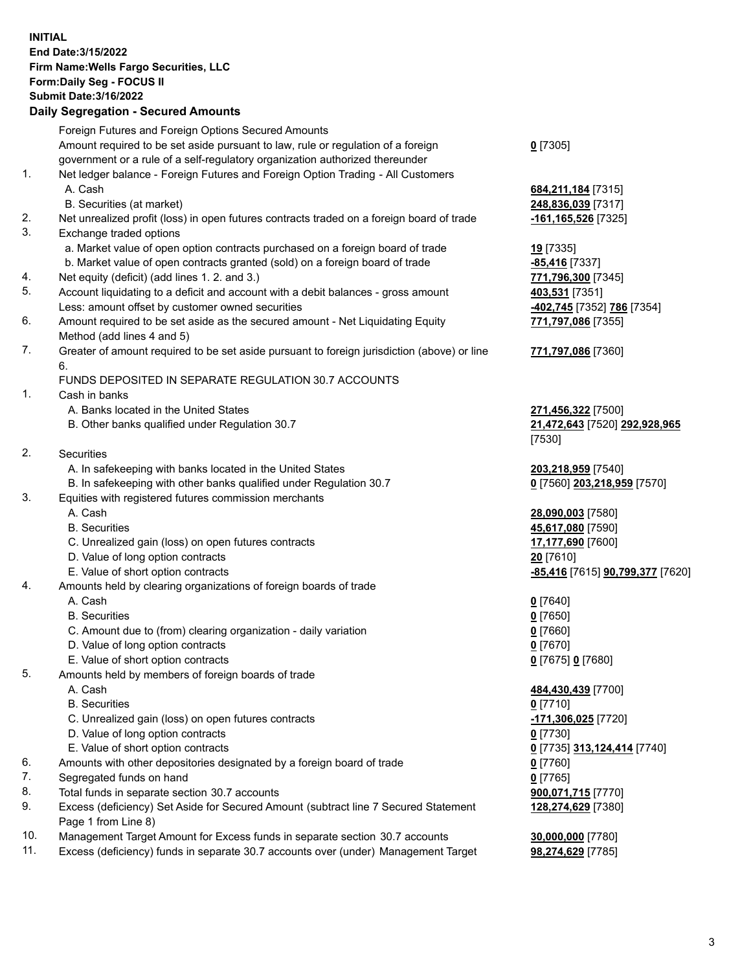**INITIAL End Date:3/15/2022 Firm Name:Wells Fargo Securities, LLC Form:Daily Seg - FOCUS II Submit Date:3/16/2022 Daily Segregation - Secured Amounts**

Foreign Futures and Foreign Options Secured Amounts Amount required to be set aside pursuant to law, rule or regulation of a foreign government or a rule of a self-regulatory organization authorized thereunder **0** [7305] 1. Net ledger balance - Foreign Futures and Foreign Option Trading - All Customers A. Cash **684,211,184** [7315] B. Securities (at market) **248,836,039** [7317] 2. Net unrealized profit (loss) in open futures contracts traded on a foreign board of trade **-161,165,526** [7325] 3. Exchange traded options a. Market value of open option contracts purchased on a foreign board of trade **19** [7335] b. Market value of open contracts granted (sold) on a foreign board of trade **-85,416** [7337] 4. Net equity (deficit) (add lines 1. 2. and 3.) **771,796,300** [7345] 5. Account liquidating to a deficit and account with a debit balances - gross amount **403,531** [7351] Less: amount offset by customer owned securities **-402,745** [7352] **786** [7354] 6. Amount required to be set aside as the secured amount - Net Liquidating Equity Method (add lines 4 and 5) **771,797,086** [7355] 7. Greater of amount required to be set aside pursuant to foreign jurisdiction (above) or line 6. **771,797,086** [7360] FUNDS DEPOSITED IN SEPARATE REGULATION 30.7 ACCOUNTS 1. Cash in banks A. Banks located in the United States **271,456,322** [7500] B. Other banks qualified under Regulation 30.7 **21,472,643** [7520] **292,928,965** [7530] 2. Securities A. In safekeeping with banks located in the United States **203,218,959** [7540] B. In safekeeping with other banks qualified under Regulation 30.7 **0** [7560] **203,218,959** [7570] 3. Equities with registered futures commission merchants A. Cash **28,090,003** [7580] B. Securities **45,617,080** [7590] C. Unrealized gain (loss) on open futures contracts **17,177,690** [7600] D. Value of long option contracts **20** [7610] E. Value of short option contracts **-85,416** [7615] **90,799,377** [7620] 4. Amounts held by clearing organizations of foreign boards of trade A. Cash **0** [7640] B. Securities **0** [7650] C. Amount due to (from) clearing organization - daily variation **0** [7660] D. Value of long option contracts **0** [7670] E. Value of short option contracts **0** [7675] **0** [7680] 5. Amounts held by members of foreign boards of trade A. Cash **484,430,439** [7700] B. Securities **0** [7710] C. Unrealized gain (loss) on open futures contracts **-171,306,025** [7720] D. Value of long option contracts **0** [7730] E. Value of short option contracts **0** [7735] **313,124,414** [7740] 6. Amounts with other depositories designated by a foreign board of trade **0** [7760] 7. Segregated funds on hand **0** [7765] 8. Total funds in separate section 30.7 accounts **900,071,715** [7770]

- 
- 9. Excess (deficiency) Set Aside for Secured Amount (subtract line 7 Secured Statement Page 1 from Line 8)
- 10. Management Target Amount for Excess funds in separate section 30.7 accounts **30,000,000** [7780]
- 11. Excess (deficiency) funds in separate 30.7 accounts over (under) Management Target **98,274,629** [7785]

**128,274,629** [7380]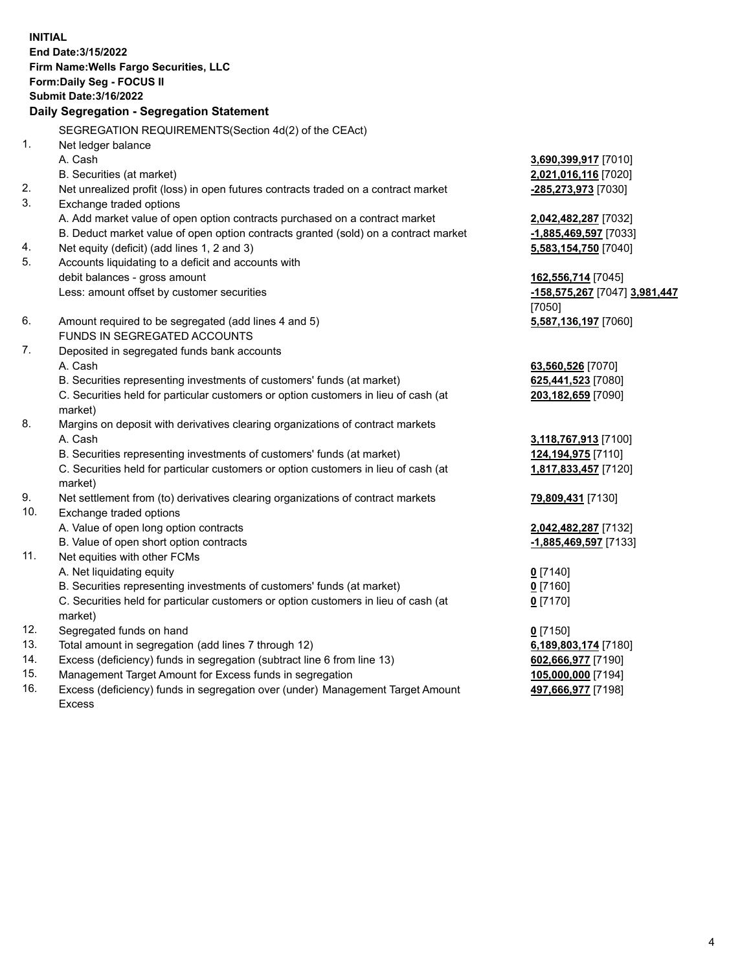**INITIAL End Date:3/15/2022 Firm Name:Wells Fargo Securities, LLC Form:Daily Seg - FOCUS II Submit Date:3/16/2022 Daily Segregation - Segregation Statement** SEGREGATION REQUIREMENTS(Section 4d(2) of the CEAct) 1. Net ledger balance A. Cash **3,690,399,917** [7010] B. Securities (at market) **2,021,016,116** [7020] 2. Net unrealized profit (loss) in open futures contracts traded on a contract market **-285,273,973** [7030] 3. Exchange traded options A. Add market value of open option contracts purchased on a contract market **2,042,482,287** [7032] B. Deduct market value of open option contracts granted (sold) on a contract market **-1,885,469,597** [7033] 4. Net equity (deficit) (add lines 1, 2 and 3) **5,583,154,750** [7040] 5. Accounts liquidating to a deficit and accounts with debit balances - gross amount **162,556,714** [7045] Less: amount offset by customer securities **-158,575,267** [7047] **3,981,447** [7050] 6. Amount required to be segregated (add lines 4 and 5) **5,587,136,197** [7060] FUNDS IN SEGREGATED ACCOUNTS 7. Deposited in segregated funds bank accounts A. Cash **63,560,526** [7070] B. Securities representing investments of customers' funds (at market) **625,441,523** [7080] C. Securities held for particular customers or option customers in lieu of cash (at market) **203,182,659** [7090] 8. Margins on deposit with derivatives clearing organizations of contract markets A. Cash **3,118,767,913** [7100] B. Securities representing investments of customers' funds (at market) **124,194,975** [7110] C. Securities held for particular customers or option customers in lieu of cash (at market) **1,817,833,457** [7120] 9. Net settlement from (to) derivatives clearing organizations of contract markets **79,809,431** [7130] 10. Exchange traded options A. Value of open long option contracts **2,042,482,287** [7132] B. Value of open short option contracts **-1,885,469,597** [7133] 11. Net equities with other FCMs A. Net liquidating equity **0** [7140] B. Securities representing investments of customers' funds (at market) **0** [7160] C. Securities held for particular customers or option customers in lieu of cash (at market) **0** [7170] 12. Segregated funds on hand **0** [7150] 13. Total amount in segregation (add lines 7 through 12) **6,189,803,174** [7180] 14. Excess (deficiency) funds in segregation (subtract line 6 from line 13) **602,666,977** [7190]

- 15. Management Target Amount for Excess funds in segregation **105,000,000** [7194]
- 16. Excess (deficiency) funds in segregation over (under) Management Target Amount
	- Excess

**497,666,977** [7198]